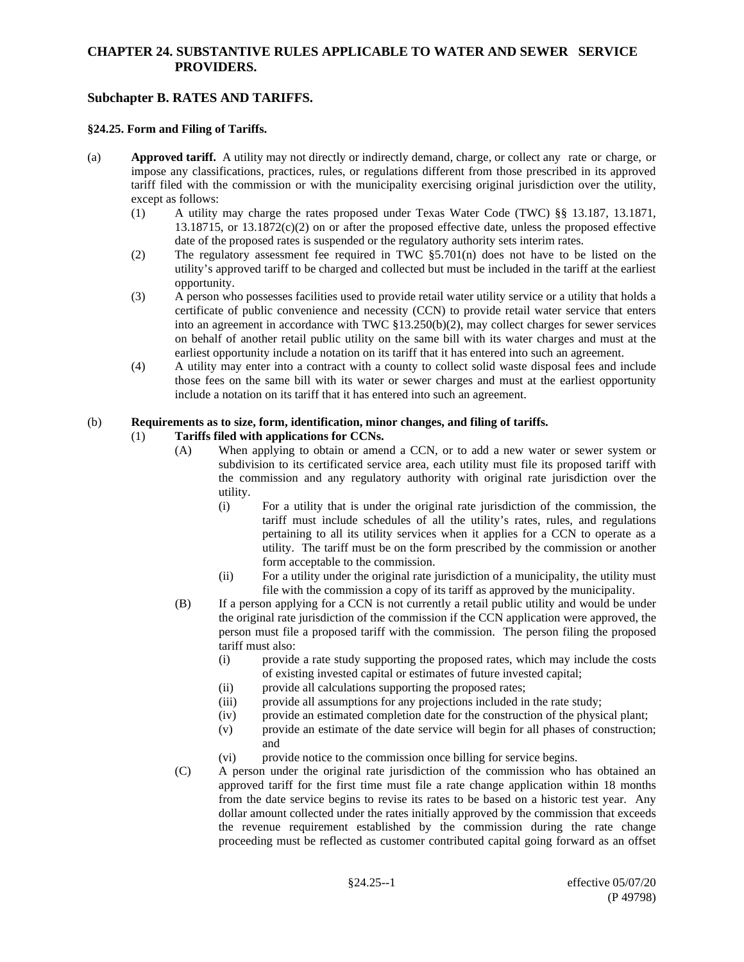# **Subchapter B. RATES AND TARIFFS.**

#### **§24.25. Form and Filing of Tariffs.**

- (a) **Approved tariff.** A utility may not directly or indirectly demand, charge, or collect any rate or charge, or impose any classifications, practices, rules, or regulations different from those prescribed in its approved tariff filed with the commission or with the municipality exercising original jurisdiction over the utility, except as follows:
	- (1) A utility may charge the rates proposed under Texas Water Code (TWC) §§ 13.187, 13.1871,  $13.18715$ , or  $13.1872(c)(2)$  on or after the proposed effective date, unless the proposed effective date of the proposed rates is suspended or the regulatory authority sets interim rates.
	- (2) The regulatory assessment fee required in TWC §5.701(n) does not have to be listed on the utility's approved tariff to be charged and collected but must be included in the tariff at the earliest opportunity.
	- (3) A person who possesses facilities used to provide retail water utility service or a utility that holds a certificate of public convenience and necessity (CCN) to provide retail water service that enters into an agreement in accordance with TWC §13.250(b)(2), may collect charges for sewer services on behalf of another retail public utility on the same bill with its water charges and must at the earliest opportunity include a notation on its tariff that it has entered into such an agreement.
	- (4) A utility may enter into a contract with a county to collect solid waste disposal fees and include those fees on the same bill with its water or sewer charges and must at the earliest opportunity include a notation on its tariff that it has entered into such an agreement.

#### (b) **Requirements as to size, form, identification, minor changes, and filing of tariffs.**

## (1) **Tariffs filed with applications for CCNs.**

- (A) When applying to obtain or amend a CCN, or to add a new water or sewer system or subdivision to its certificated service area, each utility must file its proposed tariff with the commission and any regulatory authority with original rate jurisdiction over the utility.
	- (i) For a utility that is under the original rate jurisdiction of the commission, the tariff must include schedules of all the utility's rates, rules, and regulations pertaining to all its utility services when it applies for a CCN to operate as a utility. The tariff must be on the form prescribed by the commission or another form acceptable to the commission.
	- (ii) For a utility under the original rate jurisdiction of a municipality, the utility must file with the commission a copy of its tariff as approved by the municipality.
- (B) If a person applying for a CCN is not currently a retail public utility and would be under the original rate jurisdiction of the commission if the CCN application were approved, the person must file a proposed tariff with the commission. The person filing the proposed tariff must also:
	- (i) provide a rate study supporting the proposed rates, which may include the costs of existing invested capital or estimates of future invested capital;
	- (ii) provide all calculations supporting the proposed rates;
	- (iii) provide all assumptions for any projections included in the rate study;
	- (iv) provide an estimated completion date for the construction of the physical plant;
	- (v) provide an estimate of the date service will begin for all phases of construction; and
	- (vi) provide notice to the commission once billing for service begins.
- (C) A person under the original rate jurisdiction of the commission who has obtained an approved tariff for the first time must file a rate change application within 18 months from the date service begins to revise its rates to be based on a historic test year. Any dollar amount collected under the rates initially approved by the commission that exceeds the revenue requirement established by the commission during the rate change proceeding must be reflected as customer contributed capital going forward as an offset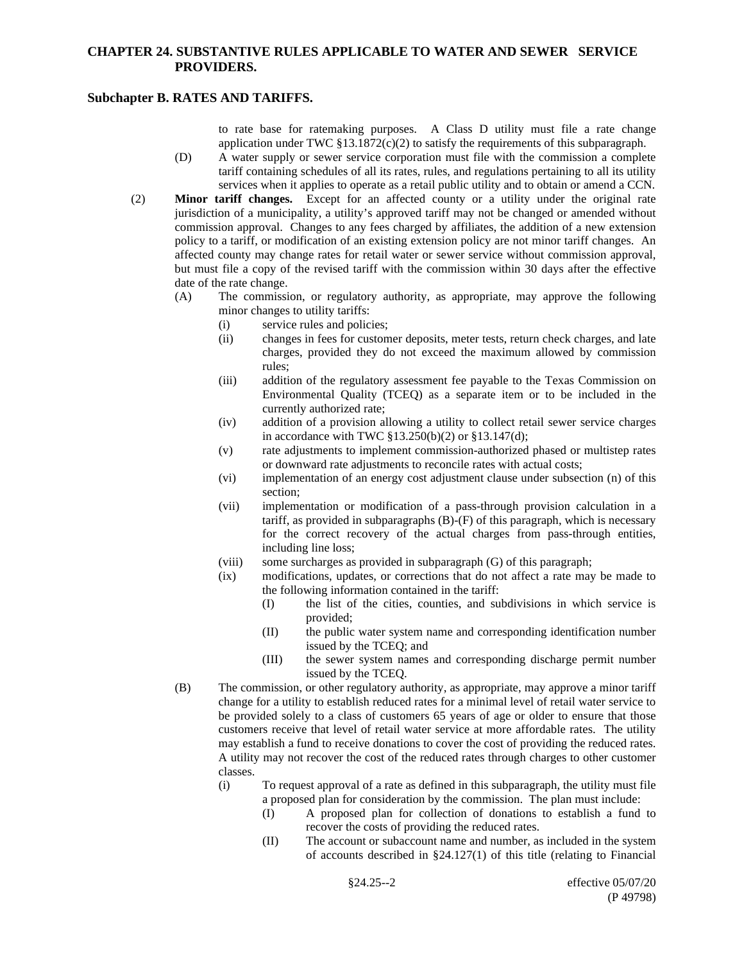## **Subchapter B. RATES AND TARIFFS.**

to rate base for ratemaking purposes. A Class D utility must file a rate change application under TWC  $\S 13.1872(c)(2)$  to satisfy the requirements of this subparagraph.

- (D) A water supply or sewer service corporation must file with the commission a complete tariff containing schedules of all its rates, rules, and regulations pertaining to all its utility services when it applies to operate as a retail public utility and to obtain or amend a CCN.
- (2) **Minor tariff changes.** Except for an affected county or a utility under the original rate jurisdiction of a municipality, a utility's approved tariff may not be changed or amended without commission approval. Changes to any fees charged by affiliates, the addition of a new extension policy to a tariff, or modification of an existing extension policy are not minor tariff changes. An affected county may change rates for retail water or sewer service without commission approval, but must file a copy of the revised tariff with the commission within 30 days after the effective date of the rate change.
	- (A) The commission, or regulatory authority, as appropriate, may approve the following minor changes to utility tariffs:
		- (i) service rules and policies;
		- (ii) changes in fees for customer deposits, meter tests, return check charges, and late charges, provided they do not exceed the maximum allowed by commission rules;
		- (iii) addition of the regulatory assessment fee payable to the Texas Commission on Environmental Quality (TCEQ) as a separate item or to be included in the currently authorized rate;
		- (iv) addition of a provision allowing a utility to collect retail sewer service charges in accordance with TWC §13.250(b)(2) or §13.147(d);
		- (v) rate adjustments to implement commission-authorized phased or multistep rates or downward rate adjustments to reconcile rates with actual costs;
		- (vi) implementation of an energy cost adjustment clause under subsection (n) of this section;
		- (vii) implementation or modification of a pass-through provision calculation in a tariff, as provided in subparagraphs (B)-(F) of this paragraph, which is necessary for the correct recovery of the actual charges from pass-through entities, including line loss;
		- (viii) some surcharges as provided in subparagraph (G) of this paragraph;
		- (ix) modifications, updates, or corrections that do not affect a rate may be made to the following information contained in the tariff:
			- (I) the list of the cities, counties, and subdivisions in which service is provided;
			- (II) the public water system name and corresponding identification number issued by the TCEQ; and
			- (III) the sewer system names and corresponding discharge permit number issued by the TCEQ.
	- (B) The commission, or other regulatory authority, as appropriate, may approve a minor tariff change for a utility to establish reduced rates for a minimal level of retail water service to be provided solely to a class of customers 65 years of age or older to ensure that those customers receive that level of retail water service at more affordable rates. The utility may establish a fund to receive donations to cover the cost of providing the reduced rates. A utility may not recover the cost of the reduced rates through charges to other customer classes.
		- (i) To request approval of a rate as defined in this subparagraph, the utility must file a proposed plan for consideration by the commission. The plan must include:
			- (I) A proposed plan for collection of donations to establish a fund to recover the costs of providing the reduced rates.
			- (II) The account or subaccount name and number, as included in the system of accounts described in §24.127(1) of this title (relating to Financial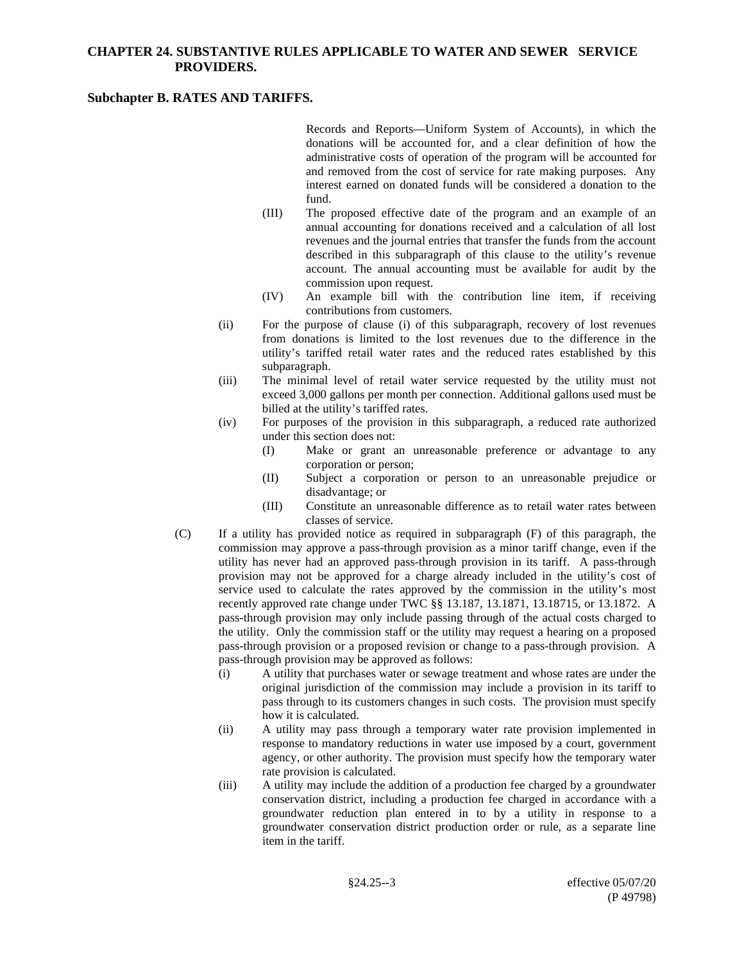## **Subchapter B. RATES AND TARIFFS.**

Records and Reports—Uniform System of Accounts), in which the donations will be accounted for, and a clear definition of how the administrative costs of operation of the program will be accounted for and removed from the cost of service for rate making purposes. Any interest earned on donated funds will be considered a donation to the fund.

- (III) The proposed effective date of the program and an example of an annual accounting for donations received and a calculation of all lost revenues and the journal entries that transfer the funds from the account described in this subparagraph of this clause to the utility's revenue account. The annual accounting must be available for audit by the commission upon request.
- (IV) An example bill with the contribution line item, if receiving contributions from customers.
- (ii) For the purpose of clause (i) of this subparagraph, recovery of lost revenues from donations is limited to the lost revenues due to the difference in the utility's tariffed retail water rates and the reduced rates established by this subparagraph.
- (iii) The minimal level of retail water service requested by the utility must not exceed 3,000 gallons per month per connection. Additional gallons used must be billed at the utility's tariffed rates.
- (iv) For purposes of the provision in this subparagraph, a reduced rate authorized under this section does not:
	- (I) Make or grant an unreasonable preference or advantage to any corporation or person;
	- (II) Subject a corporation or person to an unreasonable prejudice or disadvantage; or
	- (III) Constitute an unreasonable difference as to retail water rates between classes of service.
- (C) If a utility has provided notice as required in subparagraph (F) of this paragraph, the commission may approve a pass-through provision as a minor tariff change, even if the utility has never had an approved pass-through provision in its tariff. A pass-through provision may not be approved for a charge already included in the utility's cost of service used to calculate the rates approved by the commission in the utility's most recently approved rate change under TWC §§ 13.187, 13.1871, 13.18715, or 13.1872. A pass-through provision may only include passing through of the actual costs charged to the utility. Only the commission staff or the utility may request a hearing on a proposed pass-through provision or a proposed revision or change to a pass-through provision. A pass-through provision may be approved as follows:
	- (i) A utility that purchases water or sewage treatment and whose rates are under the original jurisdiction of the commission may include a provision in its tariff to pass through to its customers changes in such costs. The provision must specify how it is calculated.
	- (ii) A utility may pass through a temporary water rate provision implemented in response to mandatory reductions in water use imposed by a court, government agency, or other authority. The provision must specify how the temporary water rate provision is calculated.
	- (iii) A utility may include the addition of a production fee charged by a groundwater conservation district, including a production fee charged in accordance with a groundwater reduction plan entered in to by a utility in response to a groundwater conservation district production order or rule, as a separate line item in the tariff.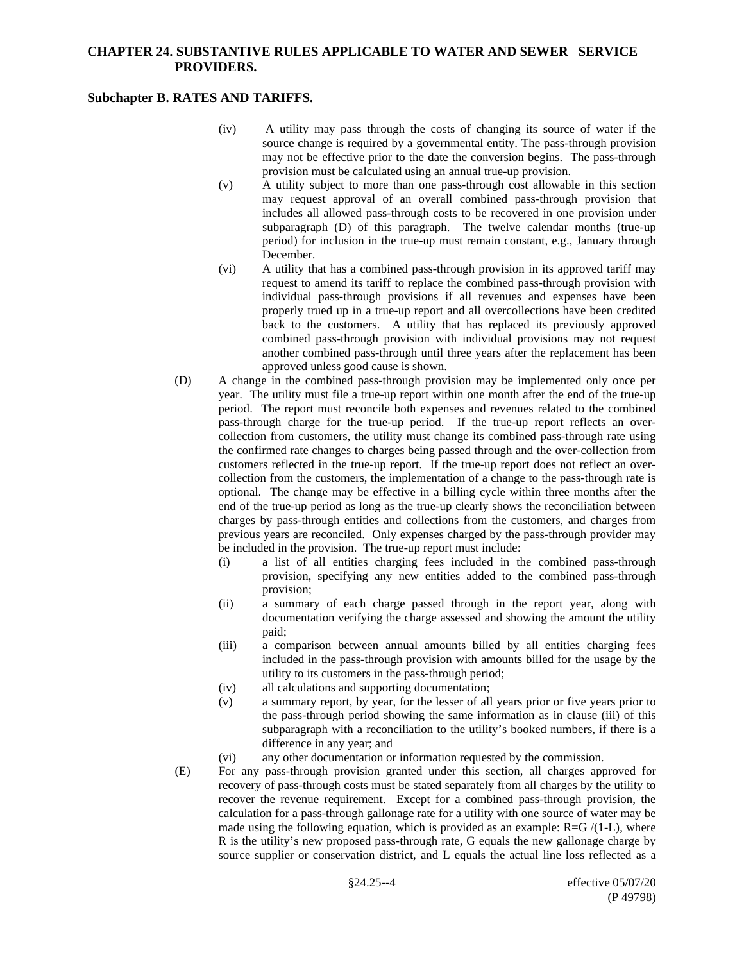## **Subchapter B. RATES AND TARIFFS.**

- (iv) A utility may pass through the costs of changing its source of water if the source change is required by a governmental entity. The pass-through provision may not be effective prior to the date the conversion begins. The pass-through provision must be calculated using an annual true-up provision.
- (v) A utility subject to more than one pass-through cost allowable in this section may request approval of an overall combined pass-through provision that includes all allowed pass-through costs to be recovered in one provision under subparagraph (D) of this paragraph. The twelve calendar months (true-up period) for inclusion in the true-up must remain constant, e.g., January through December.
- (vi) A utility that has a combined pass-through provision in its approved tariff may request to amend its tariff to replace the combined pass-through provision with individual pass-through provisions if all revenues and expenses have been properly trued up in a true-up report and all overcollections have been credited back to the customers. A utility that has replaced its previously approved combined pass-through provision with individual provisions may not request another combined pass-through until three years after the replacement has been approved unless good cause is shown.
- (D) A change in the combined pass-through provision may be implemented only once per year. The utility must file a true-up report within one month after the end of the true-up period. The report must reconcile both expenses and revenues related to the combined pass-through charge for the true-up period. If the true-up report reflects an overcollection from customers, the utility must change its combined pass-through rate using the confirmed rate changes to charges being passed through and the over-collection from customers reflected in the true-up report. If the true-up report does not reflect an overcollection from the customers, the implementation of a change to the pass-through rate is optional. The change may be effective in a billing cycle within three months after the end of the true-up period as long as the true-up clearly shows the reconciliation between charges by pass-through entities and collections from the customers, and charges from previous years are reconciled. Only expenses charged by the pass-through provider may be included in the provision. The true-up report must include:
	- (i) a list of all entities charging fees included in the combined pass-through provision, specifying any new entities added to the combined pass-through provision;
	- (ii) a summary of each charge passed through in the report year, along with documentation verifying the charge assessed and showing the amount the utility paid;
	- (iii) a comparison between annual amounts billed by all entities charging fees included in the pass-through provision with amounts billed for the usage by the utility to its customers in the pass-through period;
	- (iv) all calculations and supporting documentation;
	- (v) a summary report, by year, for the lesser of all years prior or five years prior to the pass-through period showing the same information as in clause (iii) of this subparagraph with a reconciliation to the utility's booked numbers, if there is a difference in any year; and
	- (vi) any other documentation or information requested by the commission.
- (E) For any pass-through provision granted under this section, all charges approved for recovery of pass-through costs must be stated separately from all charges by the utility to recover the revenue requirement. Except for a combined pass-through provision, the calculation for a pass-through gallonage rate for a utility with one source of water may be made using the following equation, which is provided as an example:  $R = G/(1-L)$ , where R is the utility's new proposed pass-through rate, G equals the new gallonage charge by source supplier or conservation district, and L equals the actual line loss reflected as a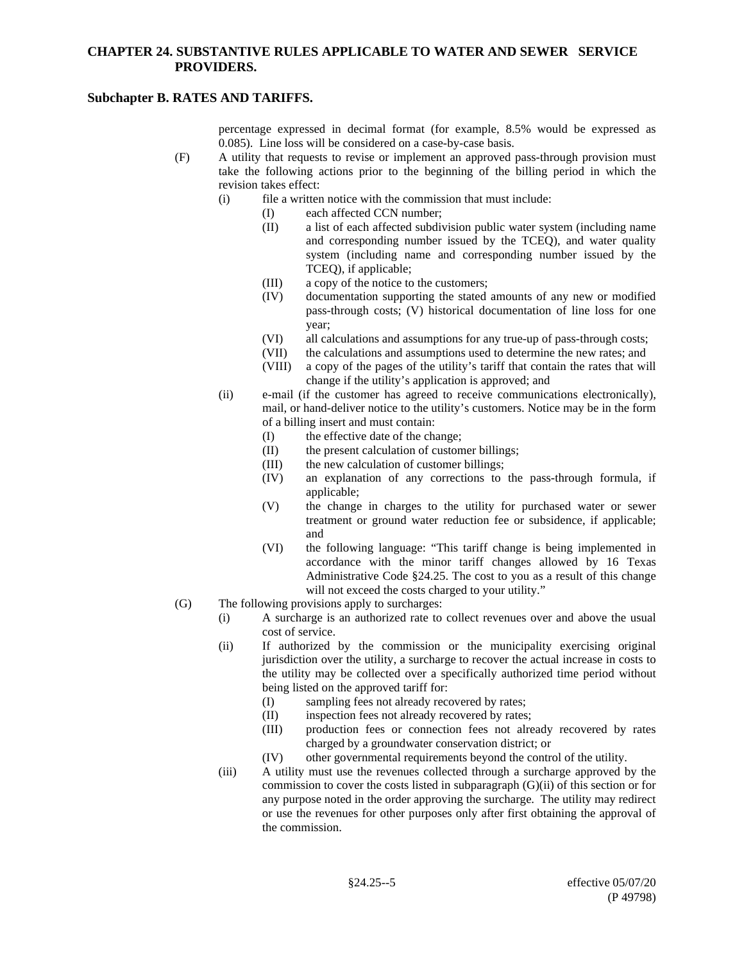## **Subchapter B. RATES AND TARIFFS.**

percentage expressed in decimal format (for example, 8.5% would be expressed as 0.085). Line loss will be considered on a case-by-case basis.

- (F) A utility that requests to revise or implement an approved pass-through provision must take the following actions prior to the beginning of the billing period in which the revision takes effect:
	- (i) file a written notice with the commission that must include:
		- (I) each affected CCN number;
			- (II) a list of each affected subdivision public water system (including name and corresponding number issued by the TCEQ), and water quality system (including name and corresponding number issued by the TCEQ), if applicable;
			- (III) a copy of the notice to the customers;
			- (IV) documentation supporting the stated amounts of any new or modified pass-through costs; (V) historical documentation of line loss for one year;
			- (VI) all calculations and assumptions for any true-up of pass-through costs;
			- (VII) the calculations and assumptions used to determine the new rates; and
			- (VIII) a copy of the pages of the utility's tariff that contain the rates that will change if the utility's application is approved; and
	- (ii) e-mail (if the customer has agreed to receive communications electronically), mail, or hand-deliver notice to the utility's customers. Notice may be in the form of a billing insert and must contain:
		- (I) the effective date of the change;
		- (II) the present calculation of customer billings;
		- (III) the new calculation of customer billings;
		- (IV) an explanation of any corrections to the pass-through formula, if applicable;
		- (V) the change in charges to the utility for purchased water or sewer treatment or ground water reduction fee or subsidence, if applicable; and
		- (VI) the following language: "This tariff change is being implemented in accordance with the minor tariff changes allowed by 16 Texas Administrative Code §24.25. The cost to you as a result of this change will not exceed the costs charged to your utility."
- (G) The following provisions apply to surcharges:
	- (i) A surcharge is an authorized rate to collect revenues over and above the usual cost of service.
	- (ii) If authorized by the commission or the municipality exercising original jurisdiction over the utility, a surcharge to recover the actual increase in costs to the utility may be collected over a specifically authorized time period without being listed on the approved tariff for:
		- (I) sampling fees not already recovered by rates;
		- (II) inspection fees not already recovered by rates;
		- (III) production fees or connection fees not already recovered by rates charged by a groundwater conservation district; or
		- (IV) other governmental requirements beyond the control of the utility.
	- (iii) A utility must use the revenues collected through a surcharge approved by the commission to cover the costs listed in subparagraph  $(G)(ii)$  of this section or for any purpose noted in the order approving the surcharge. The utility may redirect or use the revenues for other purposes only after first obtaining the approval of the commission.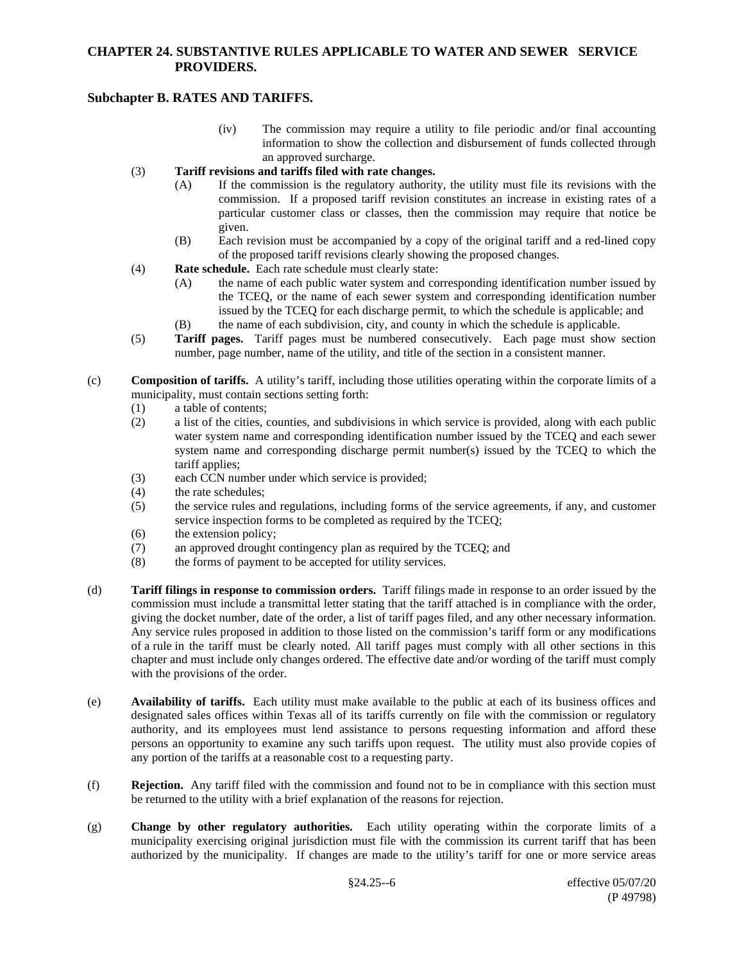# **Subchapter B. RATES AND TARIFFS.**

- (iv) The commission may require a utility to file periodic and/or final accounting information to show the collection and disbursement of funds collected through an approved surcharge.
- (3) **Tariff revisions and tariffs filed with rate changes.**
	- (A) If the commission is the regulatory authority, the utility must file its revisions with the commission. If a proposed tariff revision constitutes an increase in existing rates of a particular customer class or classes, then the commission may require that notice be given.
	- (B) Each revision must be accompanied by a copy of the original tariff and a red-lined copy of the proposed tariff revisions clearly showing the proposed changes.
- (4) **Rate schedule.** Each rate schedule must clearly state:
	- (A) the name of each public water system and corresponding identification number issued by the TCEQ, or the name of each sewer system and corresponding identification number issued by the TCEQ for each discharge permit, to which the schedule is applicable; and
	- (B) the name of each subdivision, city, and county in which the schedule is applicable.
- (5) **Tariff pages.** Tariff pages must be numbered consecutively. Each page must show section number, page number, name of the utility, and title of the section in a consistent manner.
- (c) **Composition of tariffs.** A utility's tariff, including those utilities operating within the corporate limits of a municipality, must contain sections setting forth:
	- (1) a table of contents;
	- (2) a list of the cities, counties, and subdivisions in which service is provided, along with each public water system name and corresponding identification number issued by the TCEQ and each sewer system name and corresponding discharge permit number(s) issued by the TCEQ to which the tariff applies;
	- (3) each CCN number under which service is provided;
	- (4) the rate schedules;
	- (5) the service rules and regulations, including forms of the service agreements, if any, and customer service inspection forms to be completed as required by the TCEQ;
	- (6) the extension policy;
	- (7) an approved drought contingency plan as required by the TCEQ; and (8) the forms of payment to be accepted for utility services.
	- the forms of payment to be accepted for utility services.
- (d) **Tariff filings in response to commission orders.** Tariff filings made in response to an order issued by the commission must include a transmittal letter stating that the tariff attached is in compliance with the order, giving the docket number, date of the order, a list of tariff pages filed, and any other necessary information. Any service rules proposed in addition to those listed on the commission's tariff form or any modifications of a rule in the tariff must be clearly noted. All tariff pages must comply with all other sections in this chapter and must include only changes ordered. The effective date and/or wording of the tariff must comply with the provisions of the order.
- (e) **Availability of tariffs.** Each utility must make available to the public at each of its business offices and designated sales offices within Texas all of its tariffs currently on file with the commission or regulatory authority, and its employees must lend assistance to persons requesting information and afford these persons an opportunity to examine any such tariffs upon request. The utility must also provide copies of any portion of the tariffs at a reasonable cost to a requesting party.
- (f) **Rejection.** Any tariff filed with the commission and found not to be in compliance with this section must be returned to the utility with a brief explanation of the reasons for rejection.
- (g) **Change by other regulatory authorities.** Each utility operating within the corporate limits of a municipality exercising original jurisdiction must file with the commission its current tariff that has been authorized by the municipality. If changes are made to the utility's tariff for one or more service areas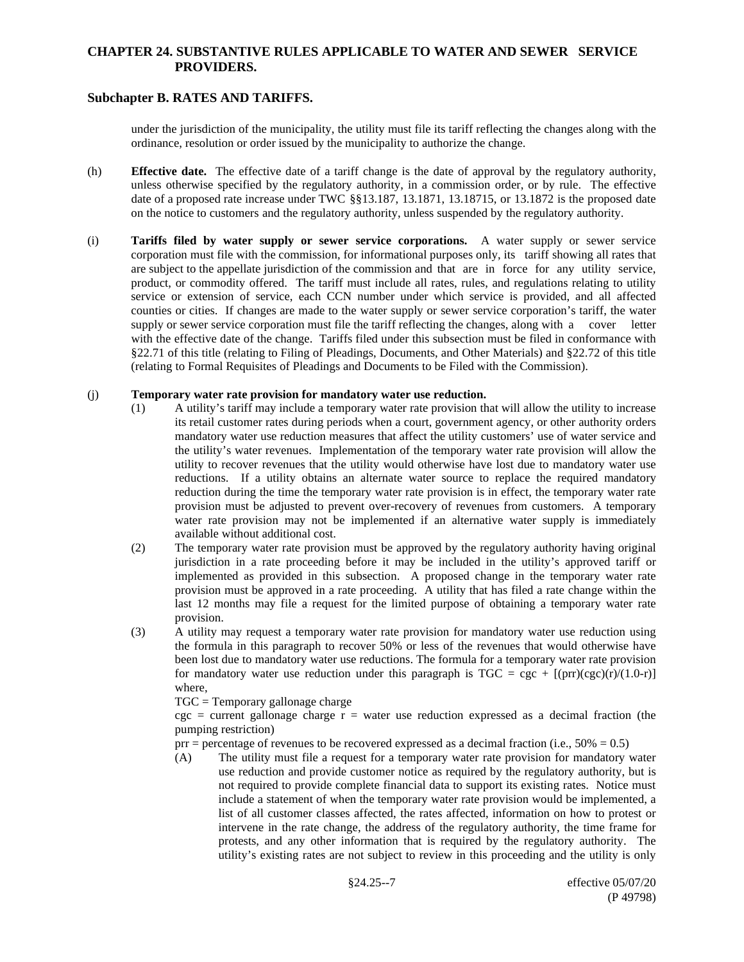# **Subchapter B. RATES AND TARIFFS.**

under the jurisdiction of the municipality, the utility must file its tariff reflecting the changes along with the ordinance, resolution or order issued by the municipality to authorize the change.

- (h) **Effective date.** The effective date of a tariff change is the date of approval by the regulatory authority, unless otherwise specified by the regulatory authority, in a commission order, or by rule. The effective date of a proposed rate increase under TWC §§13.187, 13.1871, 13.18715, or 13.1872 is the proposed date on the notice to customers and the regulatory authority, unless suspended by the regulatory authority.
- (i) **Tariffs filed by water supply or sewer service corporations.** A water supply or sewer service corporation must file with the commission, for informational purposes only, its tariff showing all rates that are subject to the appellate jurisdiction of the commission and that are in force for any utility service, product, or commodity offered. The tariff must include all rates, rules, and regulations relating to utility service or extension of service, each CCN number under which service is provided, and all affected counties or cities. If changes are made to the water supply or sewer service corporation's tariff, the water supply or sewer service corporation must file the tariff reflecting the changes, along with a cover letter with the effective date of the change. Tariffs filed under this subsection must be filed in conformance with §22.71 of this title (relating to Filing of Pleadings, Documents, and Other Materials) and §22.72 of this title (relating to Formal Requisites of Pleadings and Documents to be Filed with the Commission).

#### (j) **Temporary water rate provision for mandatory water use reduction.**

- (1) A utility's tariff may include a temporary water rate provision that will allow the utility to increase its retail customer rates during periods when a court, government agency, or other authority orders mandatory water use reduction measures that affect the utility customers' use of water service and the utility's water revenues. Implementation of the temporary water rate provision will allow the utility to recover revenues that the utility would otherwise have lost due to mandatory water use reductions. If a utility obtains an alternate water source to replace the required mandatory reduction during the time the temporary water rate provision is in effect, the temporary water rate provision must be adjusted to prevent over-recovery of revenues from customers. A temporary water rate provision may not be implemented if an alternative water supply is immediately available without additional cost.
- (2) The temporary water rate provision must be approved by the regulatory authority having original jurisdiction in a rate proceeding before it may be included in the utility's approved tariff or implemented as provided in this subsection. A proposed change in the temporary water rate provision must be approved in a rate proceeding. A utility that has filed a rate change within the last 12 months may file a request for the limited purpose of obtaining a temporary water rate provision.
- (3) A utility may request a temporary water rate provision for mandatory water use reduction using the formula in this paragraph to recover 50% or less of the revenues that would otherwise have been lost due to mandatory water use reductions. The formula for a temporary water rate provision for mandatory water use reduction under this paragraph is  $TGC = cgc + [(pr)(cgc)(r)/(1.0-r)]$ where,

TGC = Temporary gallonage charge

 $cgc = current gallonage charge r = water use reduction expressed as a decimal fraction (the$ pumping restriction)

prr = percentage of revenues to be recovered expressed as a decimal fraction (i.e.,  $50\% = 0.5$ )

(A) The utility must file a request for a temporary water rate provision for mandatory water use reduction and provide customer notice as required by the regulatory authority, but is not required to provide complete financial data to support its existing rates. Notice must include a statement of when the temporary water rate provision would be implemented, a list of all customer classes affected, the rates affected, information on how to protest or intervene in the rate change, the address of the regulatory authority, the time frame for protests, and any other information that is required by the regulatory authority. The utility's existing rates are not subject to review in this proceeding and the utility is only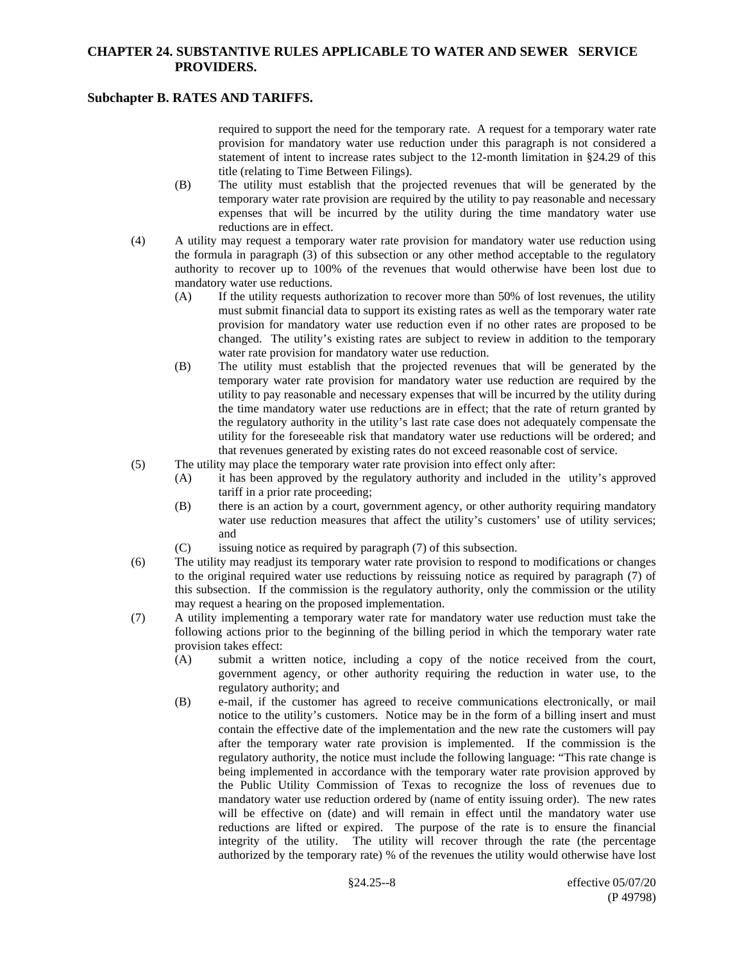## **Subchapter B. RATES AND TARIFFS.**

required to support the need for the temporary rate. A request for a temporary water rate provision for mandatory water use reduction under this paragraph is not considered a statement of intent to increase rates subject to the 12-month limitation in §24.29 of this title (relating to Time Between Filings).

- (B) The utility must establish that the projected revenues that will be generated by the temporary water rate provision are required by the utility to pay reasonable and necessary expenses that will be incurred by the utility during the time mandatory water use reductions are in effect.
- (4) A utility may request a temporary water rate provision for mandatory water use reduction using the formula in paragraph (3) of this subsection or any other method acceptable to the regulatory authority to recover up to 100% of the revenues that would otherwise have been lost due to mandatory water use reductions.
	- (A) If the utility requests authorization to recover more than 50% of lost revenues, the utility must submit financial data to support its existing rates as well as the temporary water rate provision for mandatory water use reduction even if no other rates are proposed to be changed. The utility's existing rates are subject to review in addition to the temporary water rate provision for mandatory water use reduction.
	- (B) The utility must establish that the projected revenues that will be generated by the temporary water rate provision for mandatory water use reduction are required by the utility to pay reasonable and necessary expenses that will be incurred by the utility during the time mandatory water use reductions are in effect; that the rate of return granted by the regulatory authority in the utility's last rate case does not adequately compensate the utility for the foreseeable risk that mandatory water use reductions will be ordered; and that revenues generated by existing rates do not exceed reasonable cost of service.
- (5) The utility may place the temporary water rate provision into effect only after:
	- (A) it has been approved by the regulatory authority and included in the utility's approved tariff in a prior rate proceeding;
	- (B) there is an action by a court, government agency, or other authority requiring mandatory water use reduction measures that affect the utility's customers' use of utility services; and
	- (C) issuing notice as required by paragraph (7) of this subsection.
- (6) The utility may readjust its temporary water rate provision to respond to modifications or changes to the original required water use reductions by reissuing notice as required by paragraph (7) of this subsection. If the commission is the regulatory authority, only the commission or the utility may request a hearing on the proposed implementation.
- (7) A utility implementing a temporary water rate for mandatory water use reduction must take the following actions prior to the beginning of the billing period in which the temporary water rate provision takes effect:
	- (A) submit a written notice, including a copy of the notice received from the court, government agency, or other authority requiring the reduction in water use, to the regulatory authority; and
	- (B) e-mail, if the customer has agreed to receive communications electronically, or mail notice to the utility's customers. Notice may be in the form of a billing insert and must contain the effective date of the implementation and the new rate the customers will pay after the temporary water rate provision is implemented. If the commission is the regulatory authority, the notice must include the following language: "This rate change is being implemented in accordance with the temporary water rate provision approved by the Public Utility Commission of Texas to recognize the loss of revenues due to mandatory water use reduction ordered by (name of entity issuing order). The new rates will be effective on (date) and will remain in effect until the mandatory water use reductions are lifted or expired. The purpose of the rate is to ensure the financial integrity of the utility. The utility will recover through the rate (the percentage authorized by the temporary rate) % of the revenues the utility would otherwise have lost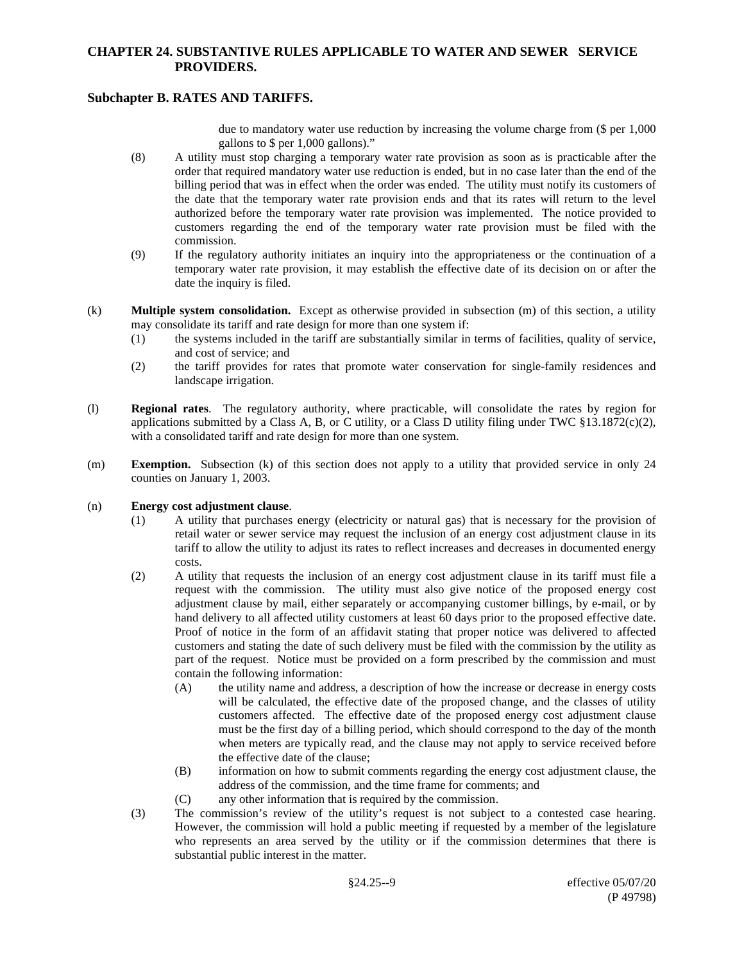# **Subchapter B. RATES AND TARIFFS.**

due to mandatory water use reduction by increasing the volume charge from (\$ per 1,000 gallons to \$ per 1,000 gallons)."

- (8) A utility must stop charging a temporary water rate provision as soon as is practicable after the order that required mandatory water use reduction is ended, but in no case later than the end of the billing period that was in effect when the order was ended. The utility must notify its customers of the date that the temporary water rate provision ends and that its rates will return to the level authorized before the temporary water rate provision was implemented. The notice provided to customers regarding the end of the temporary water rate provision must be filed with the commission.
- (9) If the regulatory authority initiates an inquiry into the appropriateness or the continuation of a temporary water rate provision, it may establish the effective date of its decision on or after the date the inquiry is filed.
- (k) **Multiple system consolidation.** Except as otherwise provided in subsection (m) of this section, a utility may consolidate its tariff and rate design for more than one system if:
	- (1) the systems included in the tariff are substantially similar in terms of facilities, quality of service, and cost of service; and
	- (2) the tariff provides for rates that promote water conservation for single-family residences and landscape irrigation.
- (l) **Regional rates**. The regulatory authority, where practicable, will consolidate the rates by region for applications submitted by a Class A, B, or C utility, or a Class D utility filing under TWC  $\S 13.1872(c)(2)$ , with a consolidated tariff and rate design for more than one system.
- (m) **Exemption.** Subsection (k) of this section does not apply to a utility that provided service in only 24 counties on January 1, 2003.

#### (n) **Energy cost adjustment clause**.

- (1) A utility that purchases energy (electricity or natural gas) that is necessary for the provision of retail water or sewer service may request the inclusion of an energy cost adjustment clause in its tariff to allow the utility to adjust its rates to reflect increases and decreases in documented energy costs.
- (2) A utility that requests the inclusion of an energy cost adjustment clause in its tariff must file a request with the commission. The utility must also give notice of the proposed energy cost adjustment clause by mail, either separately or accompanying customer billings, by e-mail, or by hand delivery to all affected utility customers at least 60 days prior to the proposed effective date. Proof of notice in the form of an affidavit stating that proper notice was delivered to affected customers and stating the date of such delivery must be filed with the commission by the utility as part of the request. Notice must be provided on a form prescribed by the commission and must contain the following information:
	- (A) the utility name and address, a description of how the increase or decrease in energy costs will be calculated, the effective date of the proposed change, and the classes of utility customers affected. The effective date of the proposed energy cost adjustment clause must be the first day of a billing period, which should correspond to the day of the month when meters are typically read, and the clause may not apply to service received before the effective date of the clause;
	- (B) information on how to submit comments regarding the energy cost adjustment clause, the address of the commission, and the time frame for comments; and
	- (C) any other information that is required by the commission.
- (3) The commission's review of the utility's request is not subject to a contested case hearing. However, the commission will hold a public meeting if requested by a member of the legislature who represents an area served by the utility or if the commission determines that there is substantial public interest in the matter.